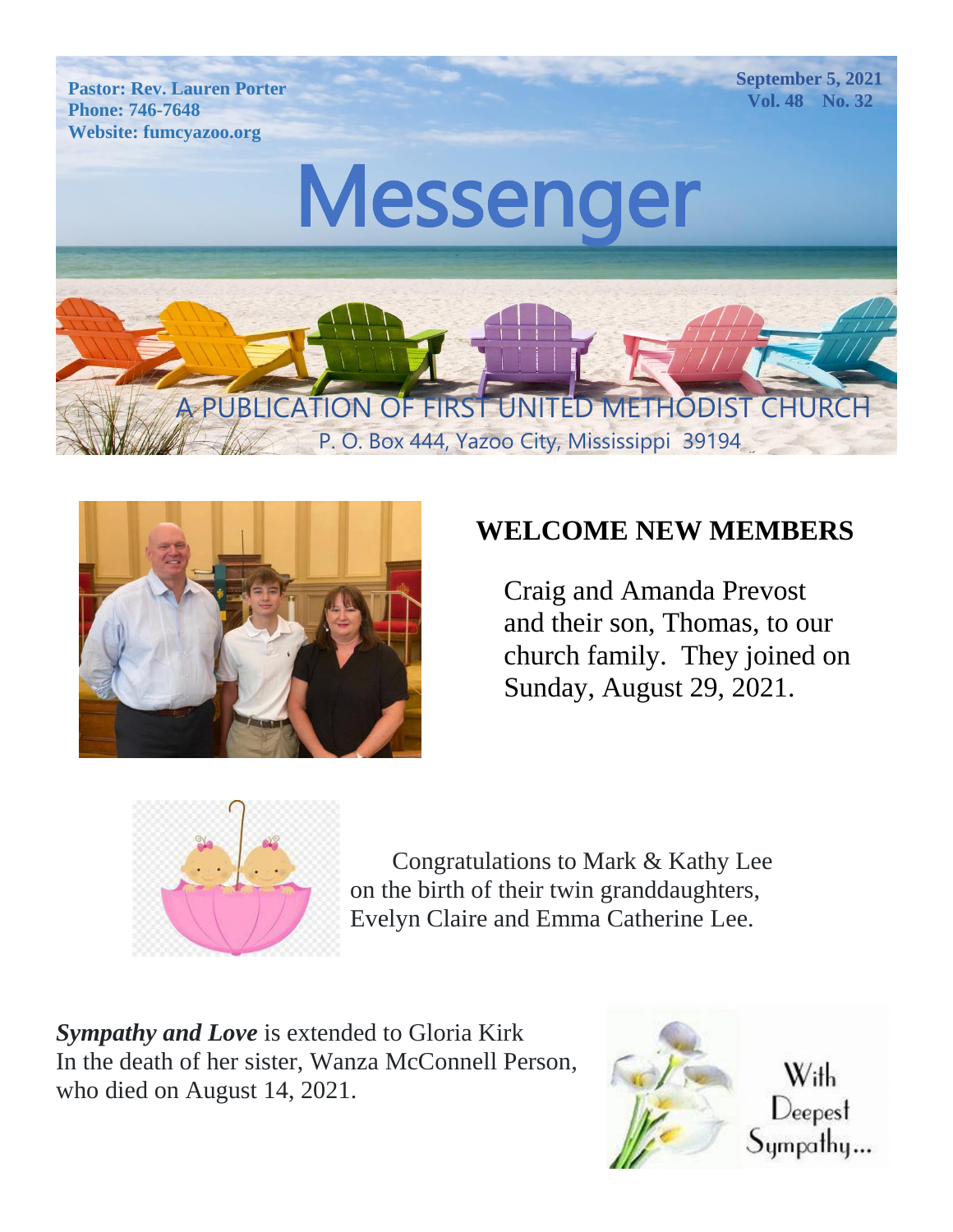



#### **WELCOME NEW MEMBERS**

 Craig and Amanda Prevost and their son, Thomas, to our church family. They joined on Sunday, August 29, 2021.



Congratulations to Mark & Kathy Lee on the birth of their twin granddaughters, Evelyn Claire and Emma Catherine Lee.

*Sympathy and Love* is extended to Gloria Kirk In the death of her sister, Wanza McConnell Person, who died on August 14, 2021.

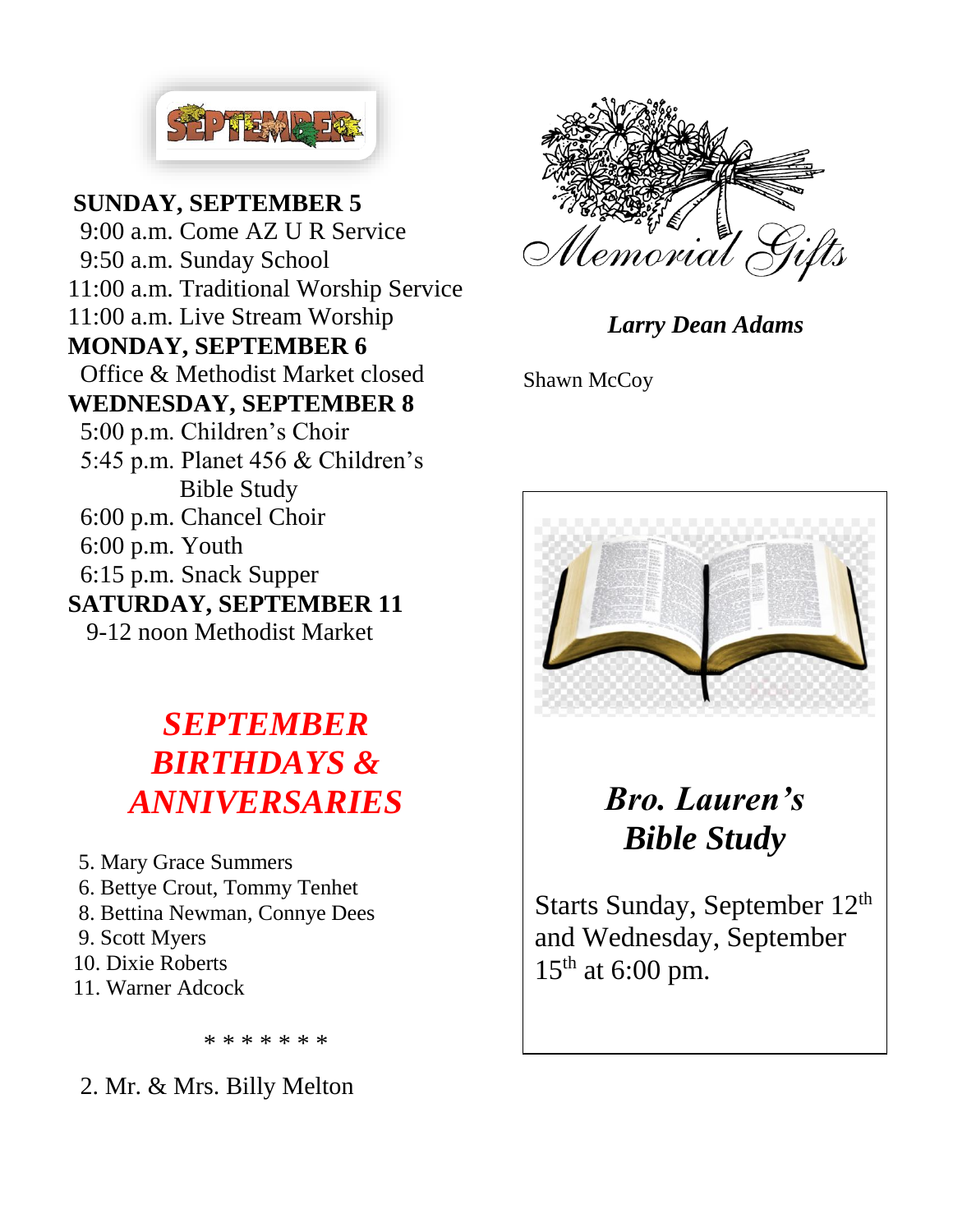

Parties of the sixth **WEDNESDAY, SEPTEMBER 8** 5:00 p.m. Children's Choir **SUNDAY, SEPTEMBER 5**  9:00 a.m. Come AZ U R Service 9:50 a.m. Sunday School 11:00 a.m. Traditional Worship Service 11:00 a.m. Live Stream Worship **MONDAY, SEPTEMBER 6** Office & Methodist Market closed 5:45 p.m. Planet 456 & Children's Bible Study 6:00 p.m. Chancel Choir 6:00 p.m. Youth 6:15 p.m. Snack Supper **SATURDAY, SEPTEMBER 11** 9-12 noon Methodist Market

### *SEPTEMBER BIRTHDAYS & ANNIVERSARIES*

 5. Mary Grace Summers 6. Bettye Crout, Tommy Tenhet 8. Bettina Newman, Connye Dees 9. Scott Myers 10. Dixie Roberts 11. Warner Adcock

\* \* \* \* \* \* \*

2. Mr. & Mrs. Billy Melton



*Larry Dean Adams*

Shawn McCoy



*Bro. Lauren's Bible Study*

Starts Sunday, September 12th and Wednesday, September  $15<sup>th</sup>$  at 6:00 pm.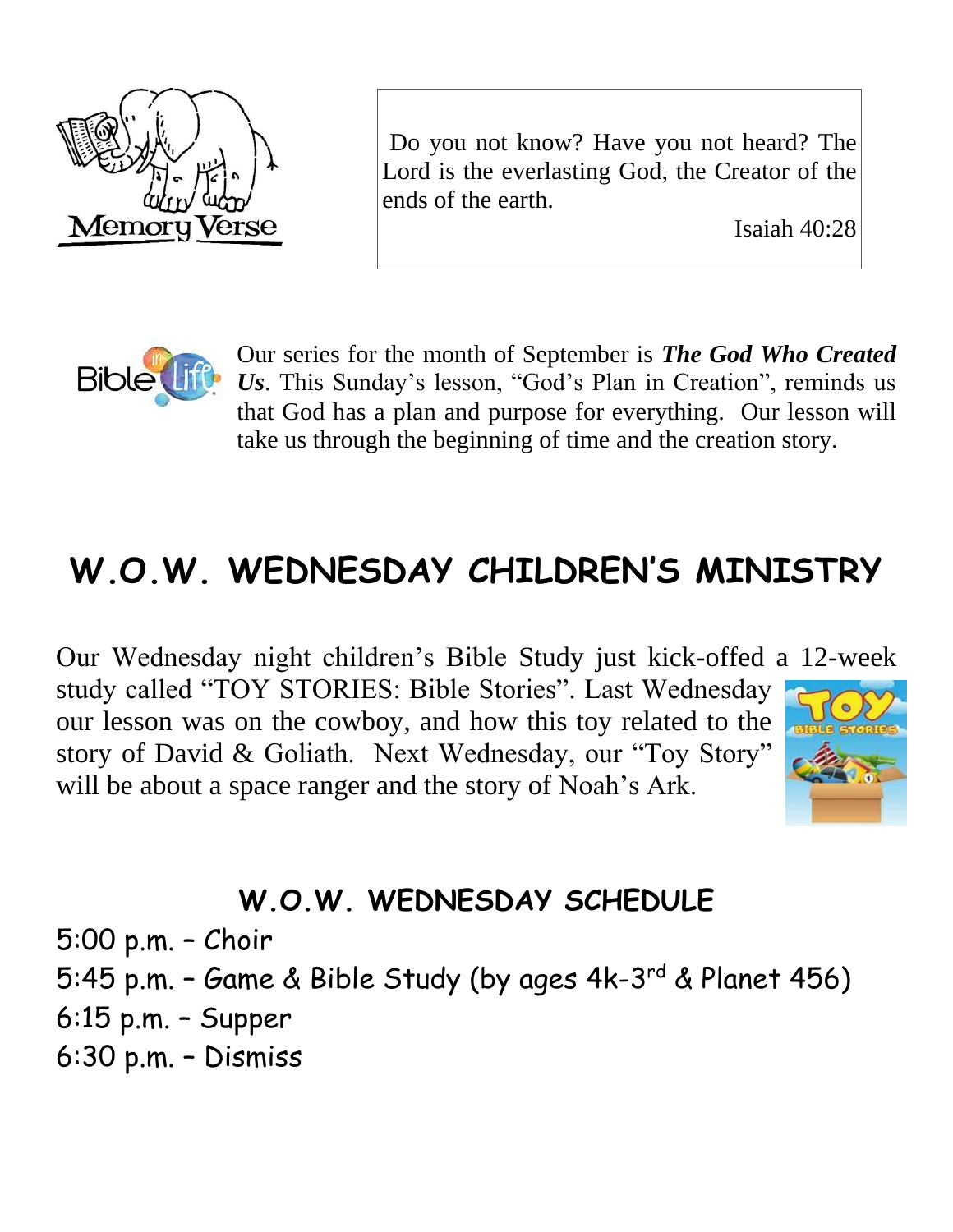

Do you not know? Have you not heard? The Lord is the everlasting God, the Creator of the ends of the earth.

Isaiah 40:28



Our series for the month of September is *The God Who Created Us*. This Sunday's lesson, "God's Plan in Creation", reminds us that God has a plan and purpose for everything. Our lesson will take us through the beginning of time and the creation story.

# **W.O.W. WEDNESDAY CHILDREN'S MINISTRY**

Our Wednesday night children's Bible Study just kick-offed a 12-week study called "TOY STORIES: Bible Stories". Last Wednesday our lesson was on the cowboy, and how this toy related to the story of David & Goliath. Next Wednesday, our "Toy Story" will be about a space ranger and the story of Noah's Ark.



### **W.O.W. WEDNESDAY SCHEDULE**

5:00 p.m. – Choir 5:45 p.m. - Game & Bible Study (by ages 4k-3<sup>rd</sup> & Planet 456) 6:15 p.m. – Supper

6:30 p.m. – Dismiss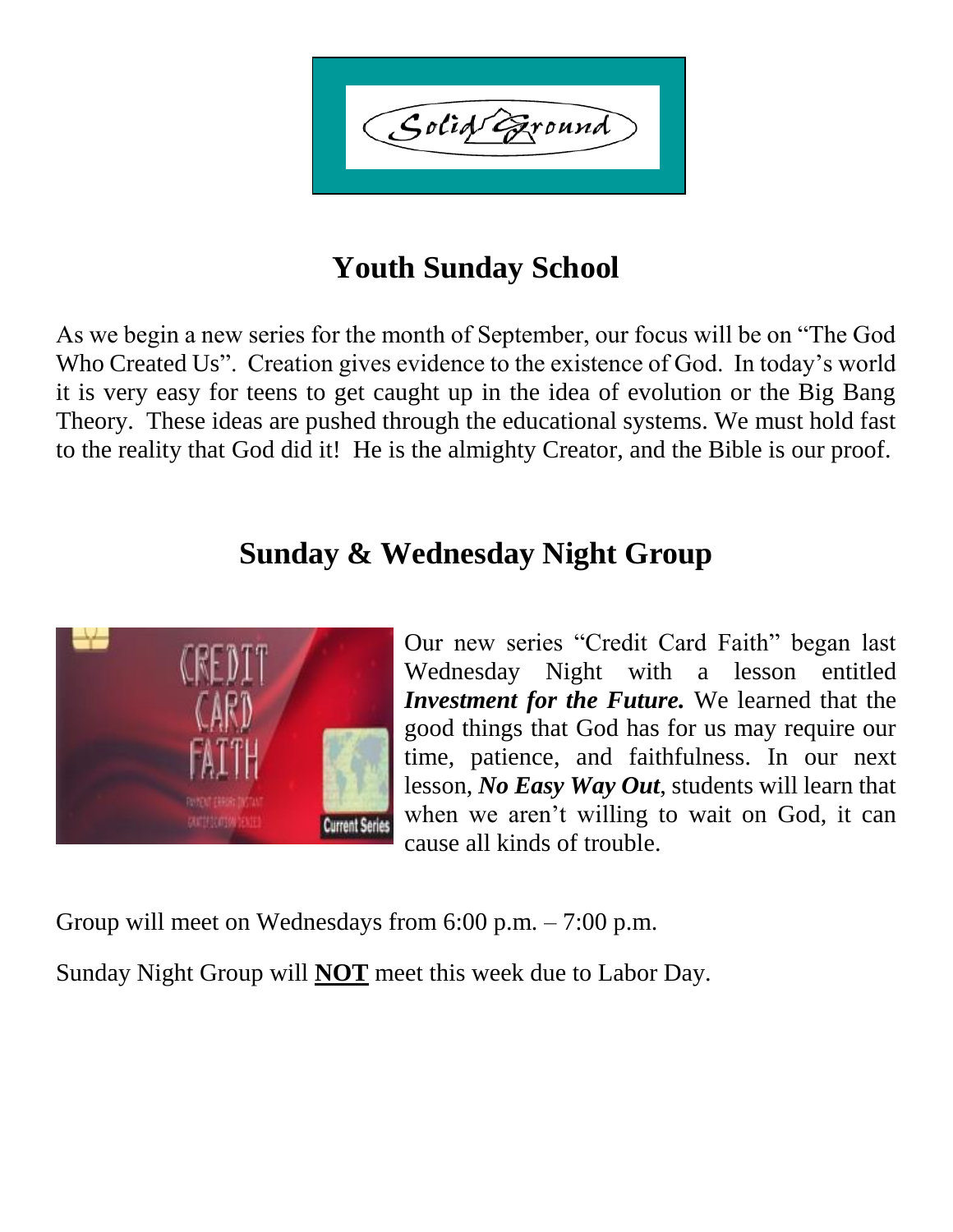Golid Exound

### **Youth Sunday School**

As we begin a new series for the month of September, our focus will be on "The God Who Created Us". Creation gives evidence to the existence of God. In today's world it is very easy for teens to get caught up in the idea of evolution or the Big Bang Theory. These ideas are pushed through the educational systems. We must hold fast to the reality that God did it! He is the almighty Creator, and the Bible is our proof.

#### **Sunday & Wednesday Night Group**



Our new series "Credit Card Faith" began last Wednesday Night with a lesson entitled *Investment for the Future.* We learned that the good things that God has for us may require our time, patience, and faithfulness. In our next lesson, *No Easy Way Out*, students will learn that when we aren't willing to wait on God, it can cause all kinds of trouble.

Group will meet on Wednesdays from 6:00 p.m. – 7:00 p.m.

Sunday Night Group will **NOT** meet this week due to Labor Day.